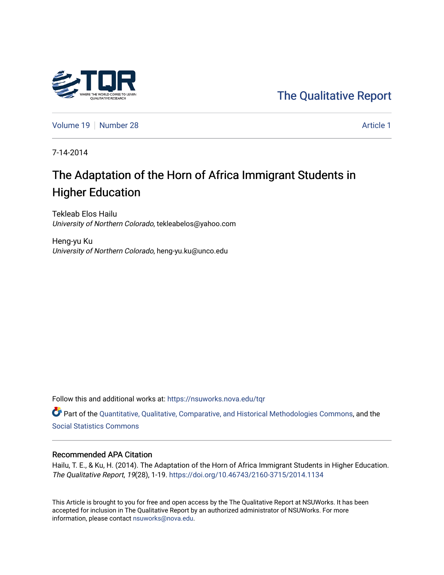

[Volume 19](https://nsuworks.nova.edu/tqr/vol19) [Number 28](https://nsuworks.nova.edu/tqr/vol19/iss28) Article 1

7-14-2014

# The Adaptation of the Horn of Africa Immigrant Students in Higher Education

Tekleab Elos Hailu University of Northern Colorado, tekleabelos@yahoo.com

Heng-yu Ku University of Northern Colorado, heng-yu.ku@unco.edu

Follow this and additional works at: [https://nsuworks.nova.edu/tqr](https://nsuworks.nova.edu/tqr?utm_source=nsuworks.nova.edu%2Ftqr%2Fvol19%2Fiss28%2F1&utm_medium=PDF&utm_campaign=PDFCoverPages) 

Part of the [Quantitative, Qualitative, Comparative, and Historical Methodologies Commons,](http://network.bepress.com/hgg/discipline/423?utm_source=nsuworks.nova.edu%2Ftqr%2Fvol19%2Fiss28%2F1&utm_medium=PDF&utm_campaign=PDFCoverPages) and the [Social Statistics Commons](http://network.bepress.com/hgg/discipline/1275?utm_source=nsuworks.nova.edu%2Ftqr%2Fvol19%2Fiss28%2F1&utm_medium=PDF&utm_campaign=PDFCoverPages) 

#### Recommended APA Citation

Hailu, T. E., & Ku, H. (2014). The Adaptation of the Horn of Africa Immigrant Students in Higher Education. The Qualitative Report, 19(28), 1-19.<https://doi.org/10.46743/2160-3715/2014.1134>

This Article is brought to you for free and open access by the The Qualitative Report at NSUWorks. It has been accepted for inclusion in The Qualitative Report by an authorized administrator of NSUWorks. For more information, please contact [nsuworks@nova.edu.](mailto:nsuworks@nova.edu)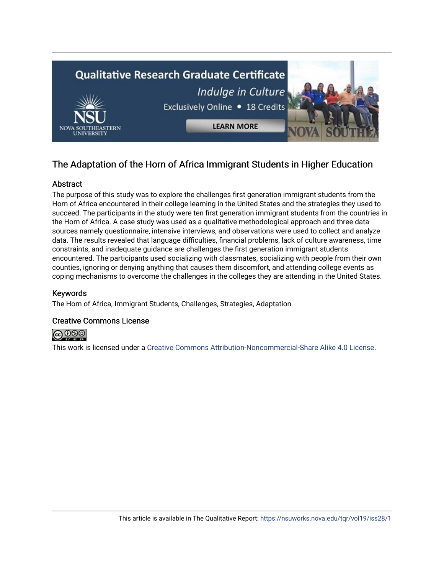

# The Adaptation of the Horn of Africa Immigrant Students in Higher Education

# Abstract

The purpose of this study was to explore the challenges first generation immigrant students from the Horn of Africa encountered in their college learning in the United States and the strategies they used to succeed. The participants in the study were ten first generation immigrant students from the countries in the Horn of Africa. A case study was used as a qualitative methodological approach and three data sources namely questionnaire, intensive interviews, and observations were used to collect and analyze data. The results revealed that language difficulties, financial problems, lack of culture awareness, time constraints, and inadequate guidance are challenges the first generation immigrant students encountered. The participants used socializing with classmates, socializing with people from their own counties, ignoring or denying anything that causes them discomfort, and attending college events as coping mechanisms to overcome the challenges in the colleges they are attending in the United States.

# Keywords

The Horn of Africa, Immigrant Students, Challenges, Strategies, Adaptation

# Creative Commons License



This work is licensed under a [Creative Commons Attribution-Noncommercial-Share Alike 4.0 License](https://creativecommons.org/licenses/by-nc-sa/4.0/).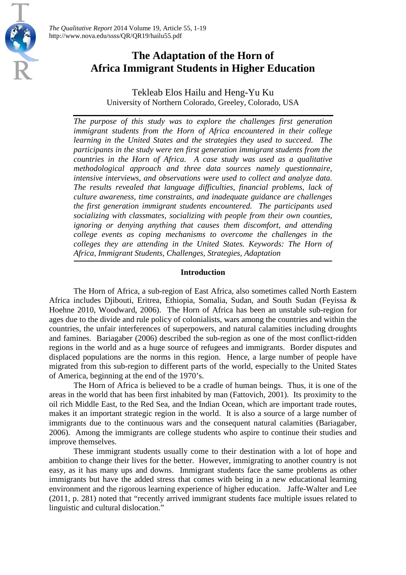

Tekleab Elos Hailu and Heng-Yu Ku University of Northern Colorado, Greeley, Colorado, USA

*The purpose of this study was to explore the challenges first generation immigrant students from the Horn of Africa encountered in their college learning in the United States and the strategies they used to succeed. The participants in the study were ten first generation immigrant students from the countries in the Horn of Africa. A case study was used as a qualitative methodological approach and three data sources namely questionnaire, intensive interviews, and observations were used to collect and analyze data. The results revealed that language difficulties, financial problems, lack of culture awareness, time constraints, and inadequate guidance are challenges the first generation immigrant students encountered. The participants used socializing with classmates, socializing with people from their own counties, ignoring or denying anything that causes them discomfort, and attending college events as coping mechanisms to overcome the challenges in the colleges they are attending in the United States. Keywords: The Horn of Africa, Immigrant Students, Challenges, Strategies, Adaptation*

#### **Introduction**

The Horn of Africa, a sub-region of East Africa, also sometimes called North Eastern Africa includes Djibouti, Eritrea, Ethiopia, Somalia, Sudan, and South Sudan (Feyissa & Hoehne 2010, Woodward, 2006). The Horn of Africa has been an unstable sub-region for ages due to the divide and rule policy of colonialists, wars among the countries and within the countries, the unfair interferences of superpowers, and natural calamities including droughts and famines. Bariagaber (2006) described the sub-region as one of the most conflict-ridden regions in the world and as a huge source of refugees and immigrants. Border disputes and displaced populations are the norms in this region. Hence, a large number of people have migrated from this sub-region to different parts of the world, especially to the United States of America, beginning at the end of the 1970's.

The Horn of Africa is believed to be a cradle of human beings. Thus, it is one of the areas in the world that has been first inhabited by man (Fattovich, 2001). Its proximity to the oil rich Middle East, to the Red Sea, and the Indian Ocean, which are important trade routes, makes it an important strategic region in the world. It is also a source of a large number of immigrants due to the continuous wars and the consequent natural calamities (Bariagaber, 2006). Among the immigrants are college students who aspire to continue their studies and improve themselves.

These immigrant students usually come to their destination with a lot of hope and ambition to change their lives for the better. However, immigrating to another country is not easy, as it has many ups and downs. Immigrant students face the same problems as other immigrants but have the added stress that comes with being in a new educational learning environment and the rigorous learning experience of higher education. Jaffe-Walter and Lee (2011, p. 281) noted that "recently arrived immigrant students face multiple issues related to linguistic and cultural dislocation."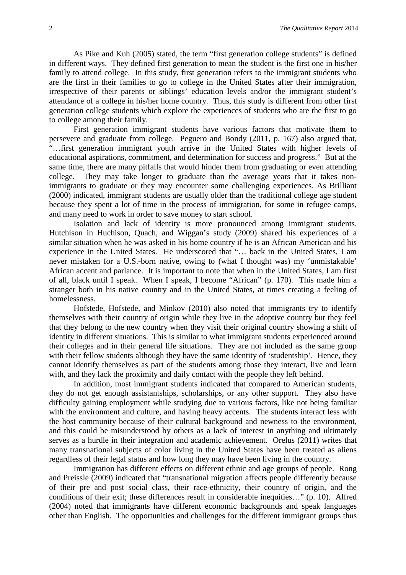As Pike and Kuh (2005) stated, the term "first generation college students" is defined in different ways. They defined first generation to mean the student is the first one in his/her family to attend college. In this study, first generation refers to the immigrant students who are the first in their families to go to college in the United States after their immigration, irrespective of their parents or siblings' education levels and/or the immigrant student's attendance of a college in his/her home country. Thus, this study is different from other first generation college students which explore the experiences of students who are the first to go to college among their family.

First generation immigrant students have various factors that motivate them to persevere and graduate from college. Peguero and Bondy (2011, p. 167) also argued that, "…first generation immigrant youth arrive in the United States with higher levels of educational aspirations, commitment, and determination for success and progress." But at the same time, there are many pitfalls that would hinder them from graduating or even attending college. They may take longer to graduate than the average years that it takes nonimmigrants to graduate or they may encounter some challenging experiences. As Brilliant (2000) indicated, immigrant students are usually older than the traditional college age student because they spent a lot of time in the process of immigration, for some in refugee camps, and many need to work in order to save money to start school.

Isolation and lack of identity is more pronounced among immigrant students. Hutchison in Huchison, Quach, and Wiggan's study (2009) shared his experiences of a similar situation when he was asked in his home country if he is an African American and his experience in the United States. He underscored that "… back in the United States, I am never mistaken for a U.S.-born native, owing to (what I thought was) my 'unmistakable' African accent and parlance. It is important to note that when in the United States, I am first of all, black until I speak. When I speak, I become "African" (p. 170). This made him a stranger both in his native country and in the United States, at times creating a feeling of homelessness.

Hofstede, Hofstede, and Minkov (2010) also noted that immigrants try to identify themselves with their country of origin while they live in the adoptive country but they feel that they belong to the new country when they visit their original country showing a shift of identity in different situations. This is similar to what immigrant students experienced around their colleges and in their general life situations. They are not included as the same group with their fellow students although they have the same identity of 'studentship'. Hence, they cannot identify themselves as part of the students among those they interact, live and learn with, and they lack the proximity and daily contact with the people they left behind.

In addition, most immigrant students indicated that compared to American students, they do not get enough assistantships, scholarships, or any other support. They also have difficulty gaining employment while studying due to various factors, like not being familiar with the environment and culture, and having heavy accents. The students interact less with the host community because of their cultural background and newness to the environment, and this could be misunderstood by others as a lack of interest in anything and ultimately serves as a hurdle in their integration and academic achievement. Orelus (2011) writes that many transnational subjects of color living in the United States have been treated as aliens regardless of their legal status and how long they may have been living in the country.

Immigration has different effects on different ethnic and age groups of people. Rong and Preissle (2009) indicated that "transnational migration affects people differently because of their pre and post social class, their race-ethnicity, their country of origin, and the conditions of their exit; these differences result in considerable inequities…" (p. 10). Alfred (2004) noted that immigrants have different economic backgrounds and speak languages other than English. The opportunities and challenges for the different immigrant groups thus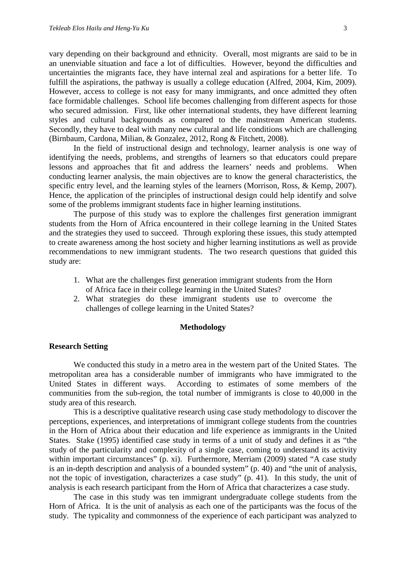vary depending on their background and ethnicity. Overall, most migrants are said to be in an unenviable situation and face a lot of difficulties. However, beyond the difficulties and uncertainties the migrants face, they have internal zeal and aspirations for a better life. To fulfill the aspirations, the pathway is usually a college education (Alfred, 2004, Kim, 2009). However, access to college is not easy for many immigrants, and once admitted they often face formidable challenges. School life becomes challenging from different aspects for those who secured admission. First, like other international students, they have different learning styles and cultural backgrounds as compared to the mainstream American students. Secondly, they have to deal with many new cultural and life conditions which are challenging (Birnbaum, Cardona, Milian, & Gonzalez, 2012, Rong & Fitchett, 2008).

In the field of instructional design and technology, learner analysis is one way of identifying the needs, problems, and strengths of learners so that educators could prepare lessons and approaches that fit and address the learners' needs and problems. When conducting learner analysis, the main objectives are to know the general characteristics, the specific entry level, and the learning styles of the learners (Morrison, Ross, & Kemp, 2007). Hence, the application of the principles of instructional design could help identify and solve some of the problems immigrant students face in higher learning institutions.

The purpose of this study was to explore the challenges first generation immigrant students from the Horn of Africa encountered in their college learning in the United States and the strategies they used to succeed. Through exploring these issues, this study attempted to create awareness among the host society and higher learning institutions as well as provide recommendations to new immigrant students. The two research questions that guided this study are:

- 1. What are the challenges first generation immigrant students from the Horn of Africa face in their college learning in the United States?
- 2. What strategies do these immigrant students use to overcome the challenges of college learning in the United States?

#### **Methodology**

#### **Research Setting**

We conducted this study in a metro area in the western part of the United States. The metropolitan area has a considerable number of immigrants who have immigrated to the United States in different ways. According to estimates of some members of the communities from the sub-region, the total number of immigrants is close to 40,000 in the study area of this research.

This is a descriptive qualitative research using case study methodology to discover the perceptions, experiences, and interpretations of immigrant college students from the countries in the Horn of Africa about their education and life experience as immigrants in the United States. Stake (1995) identified case study in terms of a unit of study and defines it as "the study of the particularity and complexity of a single case, coming to understand its activity within important circumstances" (p. xi). Furthermore, Merriam (2009) stated "A case study is an in-depth description and analysis of a bounded system" (p. 40) and "the unit of analysis, not the topic of investigation, characterizes a case study" (p. 41). In this study, the unit of analysis is each research participant from the Horn of Africa that characterizes a case study.

The case in this study was ten immigrant undergraduate college students from the Horn of Africa. It is the unit of analysis as each one of the participants was the focus of the study. The typicality and commonness of the experience of each participant was analyzed to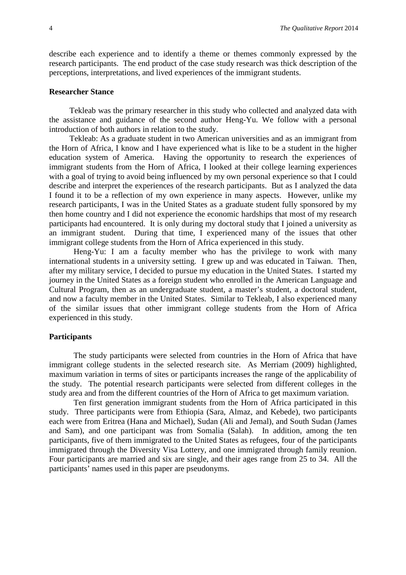describe each experience and to identify a theme or themes commonly expressed by the research participants. The end product of the case study research was thick description of the perceptions, interpretations, and lived experiences of the immigrant students.

#### **Researcher Stance**

Tekleab was the primary researcher in this study who collected and analyzed data with the assistance and guidance of the second author Heng-Yu. We follow with a personal introduction of both authors in relation to the study.

Tekleab: As a graduate student in two American universities and as an immigrant from the Horn of Africa, I know and I have experienced what is like to be a student in the higher education system of America. Having the opportunity to research the experiences of immigrant students from the Horn of Africa, I looked at their college learning experiences with a goal of trying to avoid being influenced by my own personal experience so that I could describe and interpret the experiences of the research participants. But as I analyzed the data I found it to be a reflection of my own experience in many aspects. However, unlike my research participants, I was in the United States as a graduate student fully sponsored by my then home country and I did not experience the economic hardships that most of my research participants had encountered. It is only during my doctoral study that I joined a university as an immigrant student. During that time, I experienced many of the issues that other immigrant college students from the Horn of Africa experienced in this study.

Heng-Yu: I am a faculty member who has the privilege to work with many international students in a university setting. I grew up and was educated in Taiwan. Then, after my military service, I decided to pursue my education in the United States. I started my journey in the United States as a foreign student who enrolled in the American Language and Cultural Program, then as an undergraduate student, a master's student, a doctoral student, and now a faculty member in the United States. Similar to Tekleab, I also experienced many of the similar issues that other immigrant college students from the Horn of Africa experienced in this study.

#### **Participants**

The study participants were selected from countries in the Horn of Africa that have immigrant college students in the selected research site. As Merriam (2009) highlighted, maximum variation in terms of sites or participants increases the range of the applicability of the study. The potential research participants were selected from different colleges in the study area and from the different countries of the Horn of Africa to get maximum variation.

Ten first generation immigrant students from the Horn of Africa participated in this study. Three participants were from Ethiopia (Sara, Almaz, and Kebede), two participants each were from Eritrea (Hana and Michael), Sudan (Ali and Jemal), and South Sudan (James and Sam), and one participant was from Somalia (Salah). In addition, among the ten participants, five of them immigrated to the United States as refugees, four of the participants immigrated through the Diversity Visa Lottery, and one immigrated through family reunion. Four participants are married and six are single, and their ages range from 25 to 34. All the participants' names used in this paper are pseudonyms.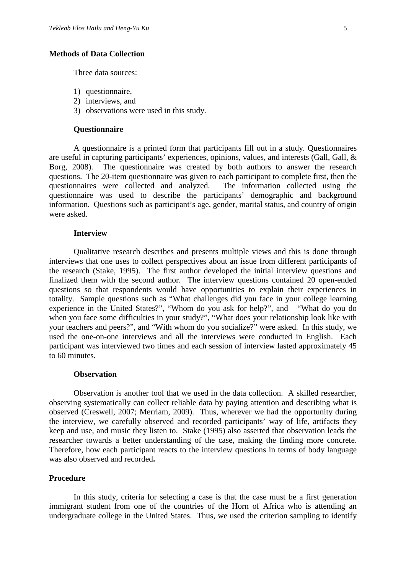#### **Methods of Data Collection**

Three data sources:

- 1) questionnaire,
- 2) interviews, and
- 3) observations were used in this study.

#### **Questionnaire**

A questionnaire is a printed form that participants fill out in a study. Questionnaires are useful in capturing participants' experiences, opinions, values, and interests (Gall, Gall, & Borg, 2008). The questionnaire was created by both authors to answer the research questions. The 20-item questionnaire was given to each participant to complete first, then the questionnaires were collected and analyzed. The information collected using the questionnaire was used to describe the participants' demographic and background information. Questions such as participant's age, gender, marital status, and country of origin were asked.

#### **Interview**

Qualitative research describes and presents multiple views and this is done through interviews that one uses to collect perspectives about an issue from different participants of the research (Stake, 1995). The first author developed the initial interview questions and finalized them with the second author. The interview questions contained 20 open-ended questions so that respondents would have opportunities to explain their experiences in totality. Sample questions such as "What challenges did you face in your college learning experience in the United States?", "Whom do you ask for help?", and "What do you do when you face some difficulties in your study?", "What does your relationship look like with your teachers and peers?", and "With whom do you socialize?" were asked. In this study, we used the one-on-one interviews and all the interviews were conducted in English. Each participant was interviewed two times and each session of interview lasted approximately 45 to 60 minutes.

#### **Observation**

Observation is another tool that we used in the data collection. A skilled researcher, observing systematically can collect reliable data by paying attention and describing what is observed (Creswell, 2007; Merriam, 2009). Thus, wherever we had the opportunity during the interview, we carefully observed and recorded participants' way of life, artifacts they keep and use, and music they listen to. Stake (1995) also asserted that observation leads the researcher towards a better understanding of the case, making the finding more concrete. Therefore, how each participant reacts to the interview questions in terms of body language was also observed and recorded**.**

#### **Procedure**

In this study, criteria for selecting a case is that the case must be a first generation immigrant student from one of the countries of the Horn of Africa who is attending an undergraduate college in the United States. Thus, we used the criterion sampling to identify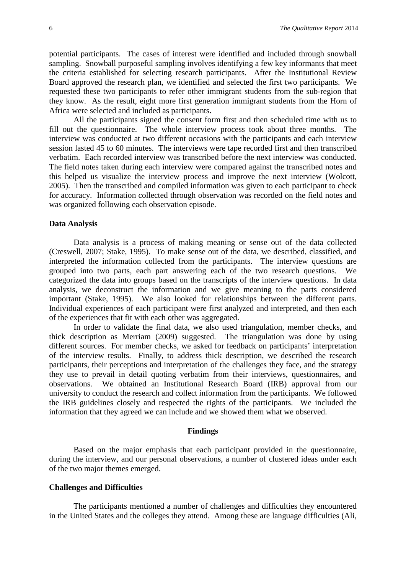potential participants. The cases of interest were identified and included through snowball sampling. Snowball purposeful sampling involves identifying a few key informants that meet the criteria established for selecting research participants. After the Institutional Review Board approved the research plan, we identified and selected the first two participants. We requested these two participants to refer other immigrant students from the sub-region that they know. As the result, eight more first generation immigrant students from the Horn of Africa were selected and included as participants.

All the participants signed the consent form first and then scheduled time with us to fill out the questionnaire. The whole interview process took about three months. The interview was conducted at two different occasions with the participants and each interview session lasted 45 to 60 minutes. The interviews were tape recorded first and then transcribed verbatim. Each recorded interview was transcribed before the next interview was conducted. The field notes taken during each interview were compared against the transcribed notes and this helped us visualize the interview process and improve the next interview (Wolcott, 2005). Then the transcribed and compiled information was given to each participant to check for accuracy. Information collected through observation was recorded on the field notes and was organized following each observation episode.

#### **Data Analysis**

Data analysis is a process of making meaning or sense out of the data collected (Creswell, 2007; Stake, 1995). To make sense out of the data, we described, classified, and interpreted the information collected from the participants. The interview questions are grouped into two parts, each part answering each of the two research questions. We categorized the data into groups based on the transcripts of the interview questions. In data analysis, we deconstruct the information and we give meaning to the parts considered important (Stake, 1995). We also looked for relationships between the different parts. Individual experiences of each participant were first analyzed and interpreted, and then each of the experiences that fit with each other was aggregated.

In order to validate the final data, we also used triangulation, member checks, and thick description as Merriam (2009) suggested. The triangulation was done by using different sources. For member checks, we asked for feedback on participants' interpretation of the interview results. Finally, to address thick description, we described the research participants, their perceptions and interpretation of the challenges they face, and the strategy they use to prevail in detail quoting verbatim from their interviews, questionnaires, and observations. We obtained an Institutional Research Board (IRB) approval from our university to conduct the research and collect information from the participants. We followed the IRB guidelines closely and respected the rights of the participants. We included the information that they agreed we can include and we showed them what we observed.

#### **Findings**

Based on the major emphasis that each participant provided in the questionnaire, during the interview, and our personal observations, a number of clustered ideas under each of the two major themes emerged.

#### **Challenges and Difficulties**

The participants mentioned a number of challenges and difficulties they encountered in the United States and the colleges they attend. Among these are language difficulties (Ali,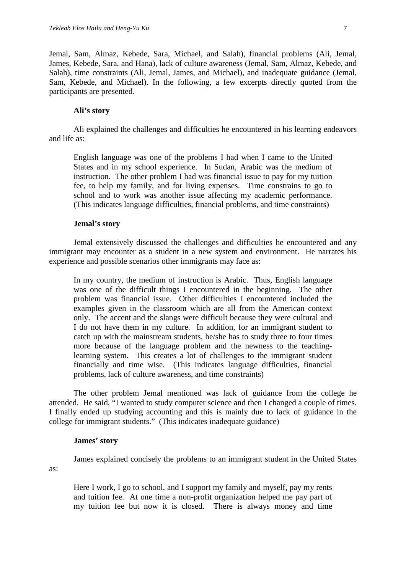Jemal, Sam, Almaz, Kebede, Sara, Michael, and Salah), financial problems (Ali, Jemal, James, Kebede, Sara, and Hana), lack of culture awareness (Jemal, Sam, Almaz, Kebede, and Salah), time constraints (Ali, Jemal, James, and Michael), and inadequate guidance (Jemal, Sam, Kebede, and Michael). In the following, a few excerpts directly quoted from the participants are presented.

#### **Ali's story**

Ali explained the challenges and difficulties he encountered in his learning endeavors and life as:

English language was one of the problems I had when I came to the United States and in my school experience. In Sudan, Arabic was the medium of instruction. The other problem I had was financial issue to pay for my tuition fee, to help my family, and for living expenses. Time constrains to go to school and to work was another issue affecting my academic performance. (This indicates language difficulties, financial problems, and time constraints)

# **Jemal's story**

Jemal extensively discussed the challenges and difficulties he encountered and any immigrant may encounter as a student in a new system and environment. He narrates his experience and possible scenarios other immigrants may face as:

In my country, the medium of instruction is Arabic. Thus, English language was one of the difficult things I encountered in the beginning. The other problem was financial issue. Other difficulties I encountered included the examples given in the classroom which are all from the American context only. The accent and the slangs were difficult because they were cultural and I do not have them in my culture. In addition, for an immigrant student to catch up with the mainstream students, he/she has to study three to four times more because of the language problem and the newness to the teachinglearning system. This creates a lot of challenges to the immigrant student financially and time wise. (This indicates language difficulties, financial problems, lack of culture awareness, and time constraints)

The other problem Jemal mentioned was lack of guidance from the college he attended. He said, "I wanted to study computer science and then I changed a couple of times. I finally ended up studying accounting and this is mainly due to lack of guidance in the college for immigrant students." (This indicates inadequate guidance)

# **James' story**

as:

James explained concisely the problems to an immigrant student in the United States

Here I work, I go to school, and I support my family and myself, pay my rents and tuition fee. At one time a non-profit organization helped me pay part of my tuition fee but now it is closed. There is always money and time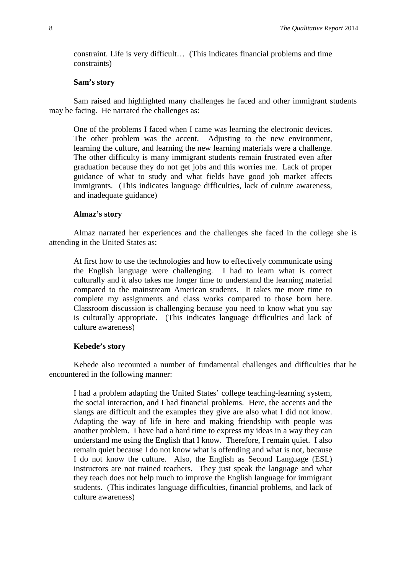constraint. Life is very difficult… (This indicates financial problems and time constraints)

#### **Sam's story**

Sam raised and highlighted many challenges he faced and other immigrant students may be facing. He narrated the challenges as:

One of the problems I faced when I came was learning the electronic devices. The other problem was the accent. Adjusting to the new environment, learning the culture, and learning the new learning materials were a challenge. The other difficulty is many immigrant students remain frustrated even after graduation because they do not get jobs and this worries me. Lack of proper guidance of what to study and what fields have good job market affects immigrants. (This indicates language difficulties, lack of culture awareness, and inadequate guidance)

#### **Almaz's story**

Almaz narrated her experiences and the challenges she faced in the college she is attending in the United States as:

At first how to use the technologies and how to effectively communicate using the English language were challenging. I had to learn what is correct culturally and it also takes me longer time to understand the learning material compared to the mainstream American students. It takes me more time to complete my assignments and class works compared to those born here. Classroom discussion is challenging because you need to know what you say is culturally appropriate. (This indicates language difficulties and lack of culture awareness)

#### **Kebede's story**

Kebede also recounted a number of fundamental challenges and difficulties that he encountered in the following manner:

I had a problem adapting the United States' college teaching-learning system, the social interaction, and I had financial problems. Here, the accents and the slangs are difficult and the examples they give are also what I did not know. Adapting the way of life in here and making friendship with people was another problem. I have had a hard time to express my ideas in a way they can understand me using the English that I know. Therefore, I remain quiet. I also remain quiet because I do not know what is offending and what is not, because I do not know the culture. Also, the English as Second Language (ESL) instructors are not trained teachers. They just speak the language and what they teach does not help much to improve the English language for immigrant students. (This indicates language difficulties, financial problems, and lack of culture awareness)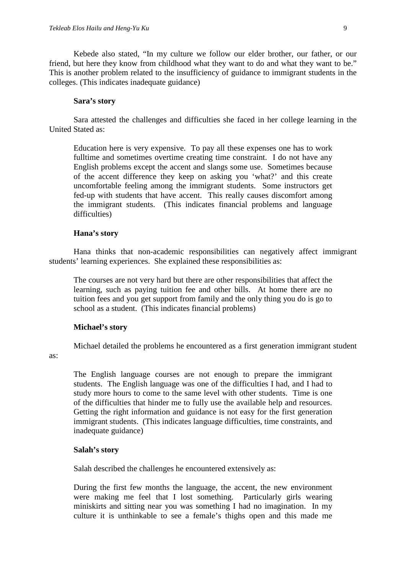Kebede also stated, "In my culture we follow our elder brother, our father, or our friend, but here they know from childhood what they want to do and what they want to be." This is another problem related to the insufficiency of guidance to immigrant students in the colleges. (This indicates inadequate guidance)

#### **Sara's story**

Sara attested the challenges and difficulties she faced in her college learning in the United Stated as:

Education here is very expensive. To pay all these expenses one has to work fulltime and sometimes overtime creating time constraint. I do not have any English problems except the accent and slangs some use. Sometimes because of the accent difference they keep on asking you 'what?' and this create uncomfortable feeling among the immigrant students. Some instructors get fed-up with students that have accent. This really causes discomfort among the immigrant students. (This indicates financial problems and language difficulties)

#### **Hana's story**

Hana thinks that non-academic responsibilities can negatively affect immigrant students' learning experiences. She explained these responsibilities as:

The courses are not very hard but there are other responsibilities that affect the learning, such as paying tuition fee and other bills. At home there are no tuition fees and you get support from family and the only thing you do is go to school as a student. (This indicates financial problems)

#### **Michael's story**

as:

Michael detailed the problems he encountered as a first generation immigrant student

The English language courses are not enough to prepare the immigrant students. The English language was one of the difficulties I had, and I had to study more hours to come to the same level with other students. Time is one of the difficulties that hinder me to fully use the available help and resources. Getting the right information and guidance is not easy for the first generation immigrant students. (This indicates language difficulties, time constraints, and inadequate guidance)

#### **Salah's story**

Salah described the challenges he encountered extensively as:

During the first few months the language, the accent, the new environment were making me feel that I lost something. Particularly girls wearing miniskirts and sitting near you was something I had no imagination. In my culture it is unthinkable to see a female's thighs open and this made me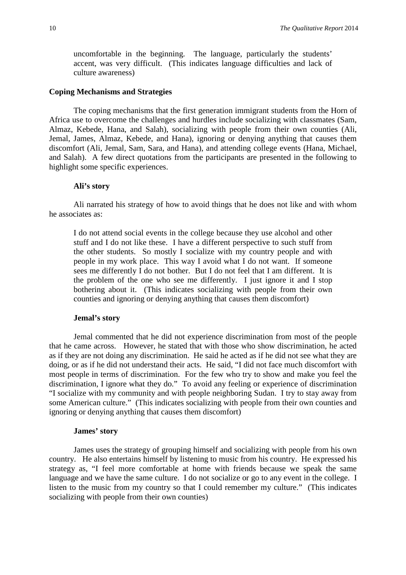uncomfortable in the beginning. The language, particularly the students' accent, was very difficult. (This indicates language difficulties and lack of culture awareness)

#### **Coping Mechanisms and Strategies**

The coping mechanisms that the first generation immigrant students from the Horn of Africa use to overcome the challenges and hurdles include socializing with classmates (Sam, Almaz, Kebede, Hana, and Salah), socializing with people from their own counties (Ali, Jemal, James, Almaz, Kebede, and Hana), ignoring or denying anything that causes them discomfort (Ali, Jemal, Sam, Sara, and Hana), and attending college events (Hana, Michael, and Salah). A few direct quotations from the participants are presented in the following to highlight some specific experiences.

#### **Ali's story**

Ali narrated his strategy of how to avoid things that he does not like and with whom he associates as:

I do not attend social events in the college because they use alcohol and other stuff and I do not like these. I have a different perspective to such stuff from the other students. So mostly I socialize with my country people and with people in my work place. This way I avoid what I do not want. If someone sees me differently I do not bother. But I do not feel that I am different. It is the problem of the one who see me differently. I just ignore it and I stop bothering about it. (This indicates socializing with people from their own counties and ignoring or denying anything that causes them discomfort)

#### **Jemal's story**

Jemal commented that he did not experience discrimination from most of the people that he came across. However, he stated that with those who show discrimination, he acted as if they are not doing any discrimination. He said he acted as if he did not see what they are doing, or as if he did not understand their acts. He said, "I did not face much discomfort with most people in terms of discrimination. For the few who try to show and make you feel the discrimination, I ignore what they do." To avoid any feeling or experience of discrimination "I socialize with my community and with people neighboring Sudan. I try to stay away from some American culture." (This indicates socializing with people from their own counties and ignoring or denying anything that causes them discomfort)

#### **James' story**

James uses the strategy of grouping himself and socializing with people from his own country. He also entertains himself by listening to music from his country. He expressed his strategy as, "I feel more comfortable at home with friends because we speak the same language and we have the same culture. I do not socialize or go to any event in the college. I listen to the music from my country so that I could remember my culture." (This indicates socializing with people from their own counties)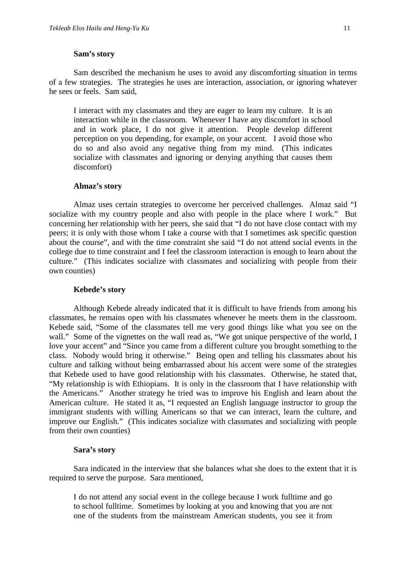#### **Sam's story**

Sam described the mechanism he uses to avoid any discomforting situation in terms of a few strategies. The strategies he uses are interaction, association, or ignoring whatever he sees or feels. Sam said,

I interact with my classmates and they are eager to learn my culture. It is an interaction while in the classroom. Whenever I have any discomfort in school and in work place, I do not give it attention. People develop different perception on you depending, for example, on your accent. I avoid those who do so and also avoid any negative thing from my mind. (This indicates socialize with classmates and ignoring or denying anything that causes them discomfort)

#### **Almaz's story**

Almaz uses certain strategies to overcome her perceived challenges. Almaz said "I socialize with my country people and also with people in the place where I work." But concerning her relationship with her peers, she said that "I do not have close contact with my peers; it is only with those whom I take a course with that I sometimes ask specific question about the course", and with the time constraint she said "I do not attend social events in the college due to time constraint and I feel the classroom interaction is enough to learn about the culture." (This indicates socialize with classmates and socializing with people from their own counties)

#### **Kebede's story**

Although Kebede already indicated that it is difficult to have friends from among his classmates, he remains open with his classmates whenever he meets them in the classroom. Kebede said, "Some of the classmates tell me very good things like what you see on the wall." Some of the vignettes on the wall read as, "We got unique perspective of the world, I love your accent" and "Since you came from a different culture you brought something to the class. Nobody would bring it otherwise." Being open and telling his classmates about his culture and talking without being embarrassed about his accent were some of the strategies that Kebede used to have good relationship with his classmates. Otherwise, he stated that, "My relationship is with Ethiopians. It is only in the classroom that I have relationship with the Americans." Another strategy he tried was to improve his English and learn about the American culture. He stated it as, "I requested an English language instructor to group the immigrant students with willing Americans so that we can interact, learn the culture, and improve our English." (This indicates socialize with classmates and socializing with people from their own counties)

#### **Sara's story**

Sara indicated in the interview that she balances what she does to the extent that it is required to serve the purpose. Sara mentioned,

I do not attend any social event in the college because I work fulltime and go to school fulltime. Sometimes by looking at you and knowing that you are not one of the students from the mainstream American students, you see it from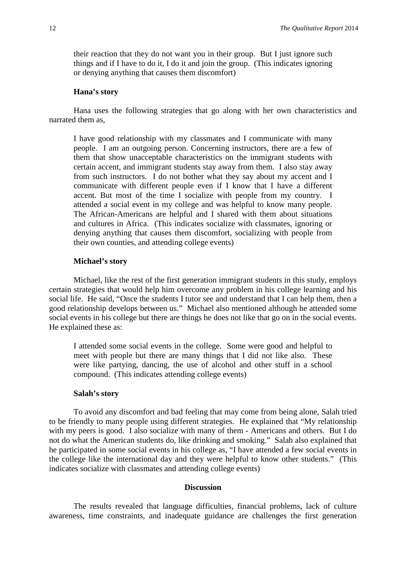their reaction that they do not want you in their group. But I just ignore such things and if I have to do it, I do it and join the group. (This indicates ignoring or denying anything that causes them discomfort)

#### **Hana's story**

Hana uses the following strategies that go along with her own characteristics and narrated them as,

I have good relationship with my classmates and I communicate with many people. I am an outgoing person. Concerning instructors, there are a few of them that show unacceptable characteristics on the immigrant students with certain accent, and immigrant students stay away from them. I also stay away from such instructors. I do not bother what they say about my accent and I communicate with different people even if I know that I have a different accent. But most of the time I socialize with people from my country. I attended a social event in my college and was helpful to know many people. The African-Americans are helpful and I shared with them about situations and cultures in Africa. (This indicates socialize with classmates, ignoring or denying anything that causes them discomfort, socializing with people from their own counties, and attending college events)

#### **Michael's story**

Michael, like the rest of the first generation immigrant students in this study, employs certain strategies that would help him overcome any problem in his college learning and his social life. He said, "Once the students I tutor see and understand that I can help them, then a good relationship develops between us." Michael also mentioned although he attended some social events in his college but there are things he does not like that go on in the social events. He explained these as:

I attended some social events in the college. Some were good and helpful to meet with people but there are many things that I did not like also. These were like partying, dancing, the use of alcohol and other stuff in a school compound. (This indicates attending college events)

#### **Salah's story**

To avoid any discomfort and bad feeling that may come from being alone, Salah tried to be friendly to many people using different strategies. He explained that "My relationship with my peers is good. I also socialize with many of them - Americans and others. But I do not do what the American students do, like drinking and smoking." Salah also explained that he participated in some social events in his college as, "I have attended a few social events in the college like the international day and they were helpful to know other students." (This indicates socialize with classmates and attending college events)

#### **Discussion**

The results revealed that language difficulties, financial problems, lack of culture awareness, time constraints, and inadequate guidance are challenges the first generation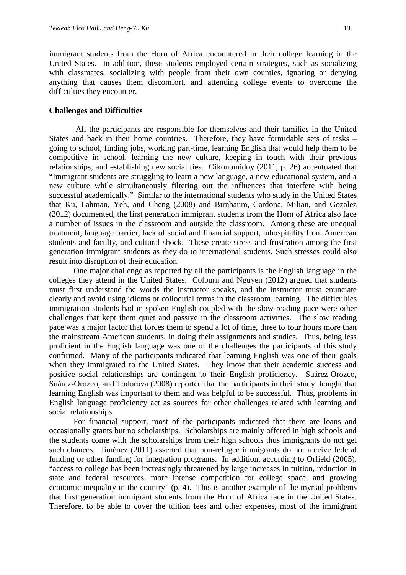immigrant students from the Horn of Africa encountered in their college learning in the United States. In addition, these students employed certain strategies, such as socializing with classmates, socializing with people from their own counties, ignoring or denying anything that causes them discomfort, and attending college events to overcome the difficulties they encounter.

#### **Challenges and Difficulties**

All the participants are responsible for themselves and their families in the United States and back in their home countries. Therefore, they have formidable sets of tasks – going to school, finding jobs, working part-time, learning English that would help them to be competitive in school, learning the new culture, keeping in touch with their previous relationships, and establishing new social ties. Oikonomidoy (2011, p. 26) accentuated that "Immigrant students are struggling to learn a new language, a new educational system, and a new culture while simultaneously filtering out the influences that interfere with being successful academically." Similar to the international students who study in the United States that Ku, Lahman, Yeh, and Cheng (2008) and Birnbaum, Cardona, Milian, and Gozalez (2012) documented, the first generation immigrant students from the Horn of Africa also face a number of issues in the classroom and outside the classroom. Among these are unequal treatment, language barrier, lack of social and financial support, inhospitality from American students and faculty, and cultural shock. These create stress and frustration among the first generation immigrant students as they do to international students. Such stresses could also result into disruption of their education.

One major challenge as reported by all the participants is the English language in the colleges they attend in the United States. Colburn and Nguyen (2012) argued that students must first understand the words the instructor speaks, and the instructor must enunciate clearly and avoid using idioms or colloquial terms in the classroom learning. The difficulties immigration students had in spoken English coupled with the slow reading pace were other challenges that kept them quiet and passive in the classroom activities. The slow reading pace was a major factor that forces them to spend a lot of time, three to four hours more than the mainstream American students, in doing their assignments and studies. Thus, being less proficient in the English language was one of the challenges the participants of this study confirmed. Many of the participants indicated that learning English was one of their goals when they immigrated to the United States. They know that their academic success and positive social relationships are contingent to their English proficiency. Suárez-Orozco, Suárez-Orozco, and Todorova (2008) reported that the participants in their study thought that learning English was important to them and was helpful to be successful. Thus, problems in English language proficiency act as sources for other challenges related with learning and social relationships.

For financial support, most of the participants indicated that there are loans and occasionally grants but no scholarships. Scholarships are mainly offered in high schools and the students come with the scholarships from their high schools thus immigrants do not get such chances. Jiménez (2011) asserted that non-refugee immigrants do not receive federal funding or other funding for integration programs. In addition, according to Orfield (2005), "access to college has been increasingly threatened by large increases in tuition, reduction in state and federal resources, more intense competition for college space, and growing economic inequality in the country" (p. 4). This is another example of the myriad problems that first generation immigrant students from the Horn of Africa face in the United States. Therefore, to be able to cover the tuition fees and other expenses, most of the immigrant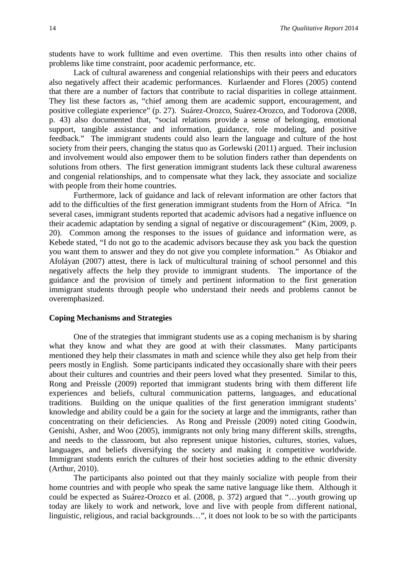students have to work fulltime and even overtime. This then results into other chains of problems like time constraint, poor academic performance, etc.

Lack of cultural awareness and congenial relationships with their peers and educators also negatively affect their academic performances. Kurlaender and Flores (2005) contend that there are a number of factors that contribute to racial disparities in college attainment. They list these factors as, "chief among them are academic support, encouragement, and positive collegiate experience" (p. 27). Suárez-Orozco, Suárez-Orozco, and Todorova (2008, p. 43) also documented that, "social relations provide a sense of belonging, emotional support, tangible assistance and information, guidance, role modeling, and positive feedback." The immigrant students could also learn the language and culture of the host society from their peers, changing the status quo as Gorlewski (2011) argued. Their inclusion and involvement would also empower them to be solution finders rather than dependents on solutions from others. The first generation immigrant students lack these cultural awareness and congenial relationships, and to compensate what they lack, they associate and socialize with people from their home countries.

Furthermore, lack of guidance and lack of relevant information are other factors that add to the difficulties of the first generation immigrant students from the Horn of Africa. "In several cases, immigrant students reported that academic advisors had a negative influence on their academic adaptation by sending a signal of negative or discouragement" (Kim, 2009, p. 20). Common among the responses to the issues of guidance and information were, as Kebede stated, "I do not go to the academic advisors because they ask you back the question you want them to answer and they do not give you complete information."As Obiakor and Afoláyan (2007) attest, there is lack of multicultural training of school personnel and this negatively affects the help they provide to immigrant students. The importance of the guidance and the provision of timely and pertinent information to the first generation immigrant students through people who understand their needs and problems cannot be overemphasized.

# **Coping Mechanisms and Strategies**

One of the strategies that immigrant students use as a coping mechanism is by sharing what they know and what they are good at with their classmates. Many participants mentioned they help their classmates in math and science while they also get help from their peers mostly in English. Some participants indicated they occasionally share with their peers about their cultures and countries and their peers loved what they presented. Similar to this, Rong and Preissle (2009) reported that immigrant students bring with them different life experiences and beliefs, cultural communication patterns, languages, and educational traditions. Building on the unique qualities of the first generation immigrant students' knowledge and ability could be a gain for the society at large and the immigrants, rather than concentrating on their deficiencies. As Rong and Preissle (2009) noted citing Goodwin, Genishi, Asher, and Woo (2005), immigrants not only bring many different skills, strengths, and needs to the classroom, but also represent unique histories, cultures, stories, values, languages, and beliefs diversifying the society and making it competitive worldwide. Immigrant students enrich the cultures of their host societies adding to the ethnic diversity (Arthur, 2010).

The participants also pointed out that they mainly socialize with people from their home countries and with people who speak the same native language like them. Although it could be expected as Suárez-Orozco et al. (2008, p. 372) argued that "…youth growing up today are likely to work and network, love and live with people from different national, linguistic, religious, and racial backgrounds…", it does not look to be so with the participants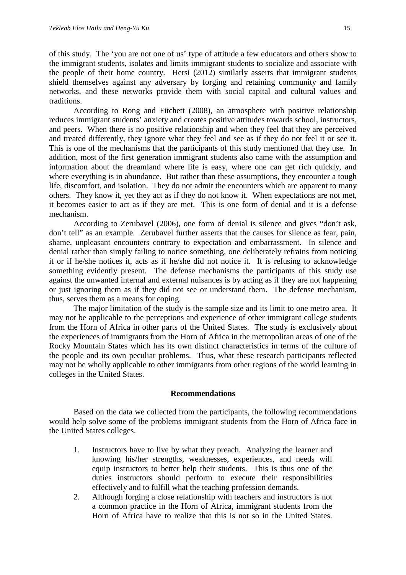of this study. The 'you are not one of us' type of attitude a few educators and others show to the immigrant students, isolates and limits immigrant students to socialize and associate with the people of their home country. Hersi (2012) similarly asserts that immigrant students shield themselves against any adversary by forging and retaining community and family networks, and these networks provide them with social capital and cultural values and traditions.

According to Rong and Fitchett (2008), an atmosphere with positive relationship reduces immigrant students' anxiety and creates positive attitudes towards school, instructors, and peers. When there is no positive relationship and when they feel that they are perceived and treated differently, they ignore what they feel and see as if they do not feel it or see it. This is one of the mechanisms that the participants of this study mentioned that they use. In addition, most of the first generation immigrant students also came with the assumption and information about the dreamland where life is easy, where one can get rich quickly, and where everything is in abundance. But rather than these assumptions, they encounter a tough life, discomfort, and isolation. They do not admit the encounters which are apparent to many others. They know it, yet they act as if they do not know it. When expectations are not met, it becomes easier to act as if they are met. This is one form of denial and it is a defense mechanism.

According to Zerubavel (2006), one form of denial is silence and gives "don't ask, don't tell" as an example. Zerubavel further asserts that the causes for silence as fear, pain, shame, unpleasant encounters contrary to expectation and embarrassment. In silence and denial rather than simply failing to notice something, one deliberately refrains from noticing it or if he/she notices it, acts as if he/she did not notice it. It is refusing to acknowledge something evidently present. The defense mechanisms the participants of this study use against the unwanted internal and external nuisances is by acting as if they are not happening or just ignoring them as if they did not see or understand them. The defense mechanism, thus, serves them as a means for coping.

The major limitation of the study is the sample size and its limit to one metro area. It may not be applicable to the perceptions and experience of other immigrant college students from the Horn of Africa in other parts of the United States. The study is exclusively about the experiences of immigrants from the Horn of Africa in the metropolitan areas of one of the Rocky Mountain States which has its own distinct characteristics in terms of the culture of the people and its own peculiar problems. Thus, what these research participants reflected may not be wholly applicable to other immigrants from other regions of the world learning in colleges in the United States.

#### **Recommendations**

Based on the data we collected from the participants, the following recommendations would help solve some of the problems immigrant students from the Horn of Africa face in the United States colleges.

- 1. Instructors have to live by what they preach. Analyzing the learner and knowing his/her strengths, weaknesses, experiences, and needs will equip instructors to better help their students. This is thus one of the duties instructors should perform to execute their responsibilities effectively and to fulfill what the teaching profession demands.
- 2. Although forging a close relationship with teachers and instructors is not a common practice in the Horn of Africa, immigrant students from the Horn of Africa have to realize that this is not so in the United States.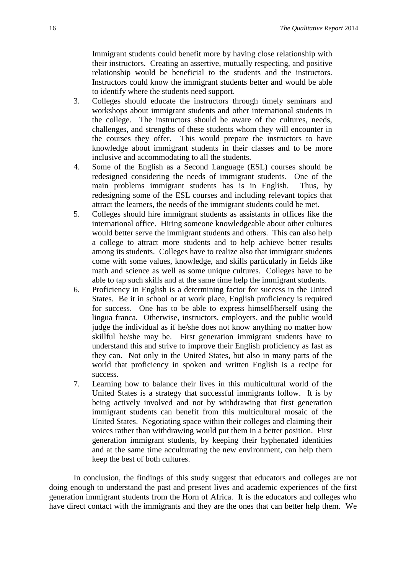Immigrant students could benefit more by having close relationship with their instructors. Creating an assertive, mutually respecting, and positive relationship would be beneficial to the students and the instructors. Instructors could know the immigrant students better and would be able to identify where the students need support.

- 3. Colleges should educate the instructors through timely seminars and workshops about immigrant students and other international students in the college. The instructors should be aware of the cultures, needs, challenges, and strengths of these students whom they will encounter in the courses they offer. This would prepare the instructors to have knowledge about immigrant students in their classes and to be more inclusive and accommodating to all the students.
- 4. Some of the English as a Second Language (ESL) courses should be redesigned considering the needs of immigrant students. One of the main problems immigrant students has is in English. Thus, by redesigning some of the ESL courses and including relevant topics that attract the learners, the needs of the immigrant students could be met.
- 5. Colleges should hire immigrant students as assistants in offices like the international office. Hiring someone knowledgeable about other cultures would better serve the immigrant students and others. This can also help a college to attract more students and to help achieve better results among its students. Colleges have to realize also that immigrant students come with some values, knowledge, and skills particularly in fields like math and science as well as some unique cultures. Colleges have to be able to tap such skills and at the same time help the immigrant students.
- 6. Proficiency in English is a determining factor for success in the United States. Be it in school or at work place, English proficiency is required for success. One has to be able to express himself/herself using the lingua franca. Otherwise, instructors, employers, and the public would judge the individual as if he/she does not know anything no matter how skillful he/she may be. First generation immigrant students have to understand this and strive to improve their English proficiency as fast as they can. Not only in the United States, but also in many parts of the world that proficiency in spoken and written English is a recipe for success.
- 7. Learning how to balance their lives in this multicultural world of the United States is a strategy that successful immigrants follow. It is by being actively involved and not by withdrawing that first generation immigrant students can benefit from this multicultural mosaic of the United States. Negotiating space within their colleges and claiming their voices rather than withdrawing would put them in a better position. First generation immigrant students, by keeping their hyphenated identities and at the same time acculturating the new environment, can help them keep the best of both cultures.

In conclusion, the findings of this study suggest that educators and colleges are not doing enough to understand the past and present lives and academic experiences of the first generation immigrant students from the Horn of Africa. It is the educators and colleges who have direct contact with the immigrants and they are the ones that can better help them. We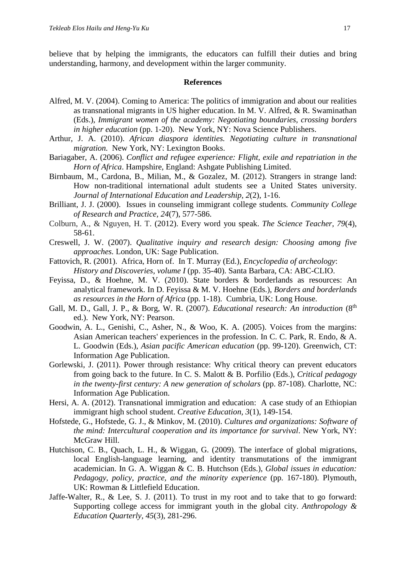believe that by helping the immigrants, the educators can fulfill their duties and bring understanding, harmony, and development within the larger community.

#### **References**

- Alfred, M. V. (2004). Coming to America: The politics of immigration and about our realities as transnational migrants in US higher education. In M. V. Alfred, & R. Swaminathan (Eds.), *Immigrant women of the academy: Negotiating boundaries, crossing borders in higher education* (pp. 1-20). New York, NY: Nova Science Publishers.
- Arthur, J. A. (2010). *African diaspora identities. Negotiating culture in transnational migration.* New York, NY: Lexington Books.
- Bariagaber, A. (2006). *Conflict and refugee experience: Flight, exile and repatriation in the Horn of Africa*. Hampshire, England: Ashgate Publishing Limited.
- Birnbaum, M., Cardona, B., Milian, M., & Gozalez, M. (2012). Strangers in strange land: How non-traditional international adult students see a United States university. *Journal of International Education and Leadership, 2*(2), 1-16.
- Brilliant, J. J. (2000). Issues in counseling immigrant college students*. Community College of Research and Practice, 24*(7), 577-586.
- Colburn, A., & Nguyen, H. T. (2012). Every word you speak. *The Science Teacher, 79*(4), 58-61.
- Creswell, J. W. (2007). *Qualitative inquiry and research design: Choosing among five approaches.* London, UK: Sage Publication.
- Fattovich, R. (2001). Africa, Horn of. In T. Murray (Ed.), *Encyclopedia of archeology*: *History and Discoveries, volume I* (pp. 35-40). Santa Barbara, CA: ABC-CLIO.
- Feyissa, D., & Hoehne, M. V. (2010). State borders & borderlands as resources: An analytical framework. In D. Feyissa & M. V. Hoehne (Eds.), *Borders and borderlands as resources in the Horn of Africa* (pp. 1-18). Cumbria, UK: Long House.
- Gall, M. D., Gall, J. P., & Borg, W. R. (2007). *Educational research: An introduction* (8<sup>th</sup> ed.). New York, NY: Pearson.
- Goodwin, A. L., Genishi, C., Asher, N., & Woo, K. A. (2005). Voices from the margins: Asian American teachers' experiences in the profession. In C. C. Park, R. Endo, & A. L. Goodwin (Eds.), *Asian pacific American education* (pp. 99-120). Greenwich, CT: Information Age Publication.
- Gorlewski, J. (2011). Power through resistance: Why critical theory can prevent educators from going back to the future. In C. S. Malott & B. Porfilio (Eds.), *Critical pedagogy in the twenty-first century: A new generation of scholars* (pp. 87-108). Charlotte, NC: Information Age Publication.
- Hersi, A. A. (2012). Transnational immigration and education: A case study of an Ethiopian immigrant high school student. *Creative Education, 3*(1), 149-154.
- Hofstede, G., Hofstede, G. J., & Minkov, M. (2010). *Cultures and organizations: Software of the mind: Intercultural cooperation and its importance for survival*. New York, NY: McGraw Hill.
- Hutchison, C. B., Quach, L. H., & Wiggan, G. (2009). The interface of global migrations, local English-language learning, and identity transmutations of the immigrant academician. In G. A. Wiggan & C. B. Hutchson (Eds.), *Global issues in education: Pedagogy, policy, practice, and the minority experience* (pp. 167-180). Plymouth, UK: Rowman & Littlefield Education.
- Jaffe-Walter, R., & Lee, S. J. (2011). To trust in my root and to take that to go forward: Supporting college access for immigrant youth in the global city. *Anthropology & Education Quarterly, 45*(3), 281-296.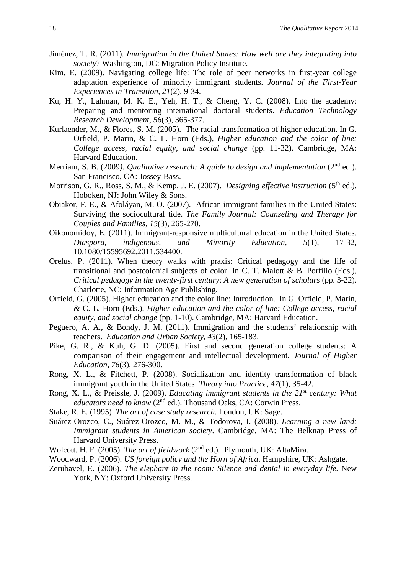- Jiménez, T. R. (2011). *Immigration in the United States: How well are they integrating into society*? Washington, DC: Migration Policy Institute.
- Kim, E. (2009). Navigating college life: The role of peer networks in first-year college adaptation experience of minority immigrant students. *Journal of the First-Year Experiences in Transition, 21*(2), 9-34.
- Ku, H. Y., Lahman, M. K. E., Yeh, H. T., & Cheng, Y. C. (2008). Into the academy: Preparing and mentoring international doctoral students. *Education Technology Research Development, 56*(3), 365-377.
- Kurlaender, M., & Flores, S. M. (2005). The racial transformation of higher education. In G. Orfield, P. Marin, & C. L. Horn (Eds.), *Higher education and the color of line: College access, racial equity, and social change* (pp. 11-32). Cambridge, MA: Harvard Education.
- Merriam, S. B. (2009). *Qualitative research: A guide to design and implementation* (2<sup>nd</sup> ed.). San Francisco, CA: Jossey-Bass.
- Morrison, G. R., Ross, S. M., & Kemp, J. E. (2007). *Designing effective instruction* (5<sup>th</sup> ed.). Hoboken, NJ: John Wiley & Sons.
- Obiakor, F. E., & Afoláyan, M. O. (2007). African immigrant families in the United States: Surviving the sociocultural tide. *The Family Journal: Counseling and Therapy for Couples and Families, 15*(3), 265-270.
- Oikonomidoy, E. (2011). Immigrant-responsive multicultural education in the United States. *Diaspora, indigenous, and Minority Education, 5*(1), 17-32, 10.1080/15595692.2011.534400.
- Orelus, P. (2011). When theory walks with praxis: Critical pedagogy and the life of transitional and postcolonial subjects of color. In C. T. Malott & B. Porfilio (Eds.), *Critical pedagogy in the twenty-first century*: *A new generation of scholars* (pp. 3-22). Charlotte, NC: Information Age Publishing.
- Orfield, G. (2005). Higher education and the color line: Introduction. In G. Orfield, P. Marin, & C. L. Horn (Eds.), *Higher education and the color of line: College access, racial equity, and social change* (pp. 1-10). Cambridge, MA: Harvard Education.
- Peguero, A. A., & Bondy, J. M. (2011). Immigration and the students' relationship with teachers. *Education and Urban Society, 43*(2), 165-183.
- Pike, G. R., & Kuh, G. D. (2005). First and second generation college students: A comparison of their engagement and intellectual development*. Journal of Higher Education, 76*(3), 276-300.
- Rong, X. L., & Fitchett, P. (2008). Socialization and identity transformation of black immigrant youth in the United States. *Theory into Practice, 47*(1), 35-42.
- Rong, X. L., & Preissle, J. (2009). *Educating immigrant students in the 21st century: What educators need to know* (2nd ed.). Thousand Oaks, CA: Corwin Press.
- Stake, R. E. (1995). *The art of case study research*. London, UK: Sage.
- Suárez-Orozco, C., Suárez-Orozco, M. M., & Todorova, I. (2008). *Learning a new land: Immigrant students in American society*. Cambridge, MA: The Belknap Press of Harvard University Press.
- Wolcott, H. F. (2005). *The art of fieldwork* (2<sup>nd</sup> ed.). Plymouth, UK: AltaMira.
- Woodward, P. (2006). *US foreign policy and the Horn of Africa*. Hampshire, UK: Ashgate.
- Zerubavel, E. (2006). *The elephant in the room: Silence and denial in everyday life*. New York, NY: Oxford University Press.